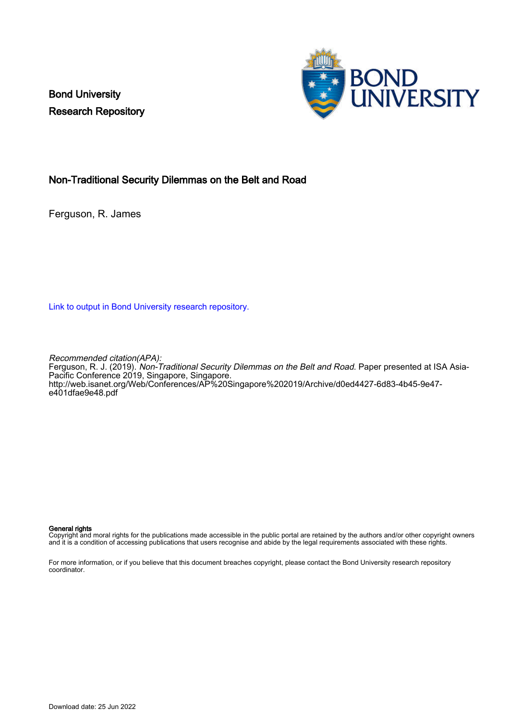Bond University Research Repository



# Non-Traditional Security Dilemmas on the Belt and Road

Ferguson, R. James

[Link to output in Bond University research repository.](https://research.bond.edu.au/en/publications/e3f01fa0-62f4-4837-bacb-b445ab1e7f44)

Recommended citation(APA):

Ferguson, R. J. (2019). Non-Traditional Security Dilemmas on the Belt and Road. Paper presented at ISA Asia-Pacific Conference 2019, Singapore, Singapore. [http://web.isanet.org/Web/Conferences/AP%20Singapore%202019/Archive/d0ed4427-6d83-4b45-9e47](http://web.isanet.org/Web/Conferences/AP%20Singapore%202019/Archive/d0ed4427-6d83-4b45-9e47-e401dfae9e48.pdf) [e401dfae9e48.pdf](http://web.isanet.org/Web/Conferences/AP%20Singapore%202019/Archive/d0ed4427-6d83-4b45-9e47-e401dfae9e48.pdf)

#### General rights

Copyright and moral rights for the publications made accessible in the public portal are retained by the authors and/or other copyright owners and it is a condition of accessing publications that users recognise and abide by the legal requirements associated with these rights.

For more information, or if you believe that this document breaches copyright, please contact the Bond University research repository coordinator.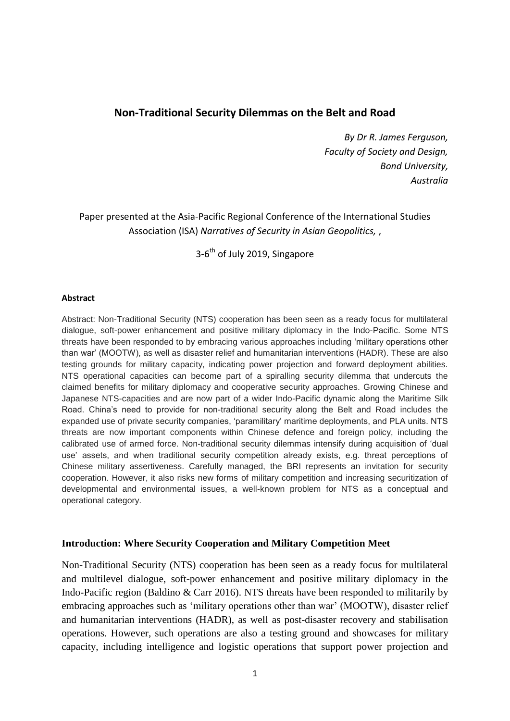# **Non-Traditional Security Dilemmas on the Belt and Road**

*By Dr R. James Ferguson, Faculty of Society and Design, Bond University, Australia*

Paper presented at the Asia-Pacific Regional Conference of the International Studies Association (ISA) *Narratives of Security in Asian Geopolitics,* ,

3-6<sup>th</sup> of July 2019, Singapore

#### **Abstract**

Abstract: Non-Traditional Security (NTS) cooperation has been seen as a ready focus for multilateral dialogue, soft-power enhancement and positive military diplomacy in the Indo-Pacific. Some NTS threats have been responded to by embracing various approaches including 'military operations other than war' (MOOTW), as well as disaster relief and humanitarian interventions (HADR). These are also testing grounds for military capacity, indicating power projection and forward deployment abilities. NTS operational capacities can become part of a spiralling security dilemma that undercuts the claimed benefits for military diplomacy and cooperative security approaches. Growing Chinese and Japanese NTS-capacities and are now part of a wider Indo-Pacific dynamic along the Maritime Silk Road. China's need to provide for non-traditional security along the Belt and Road includes the expanded use of private security companies, 'paramilitary' maritime deployments, and PLA units. NTS threats are now important components within Chinese defence and foreign policy, including the calibrated use of armed force. Non-traditional security dilemmas intensify during acquisition of 'dual use' assets, and when traditional security competition already exists, e.g. threat perceptions of Chinese military assertiveness. Carefully managed, the BRI represents an invitation for security cooperation. However, it also risks new forms of military competition and increasing securitization of developmental and environmental issues, a well-known problem for NTS as a conceptual and operational category.

### **Introduction: Where Security Cooperation and Military Competition Meet**

Non-Traditional Security (NTS) cooperation has been seen as a ready focus for multilateral and multilevel dialogue, soft-power enhancement and positive military diplomacy in the Indo-Pacific region (Baldino & Carr 2016). NTS threats have been responded to militarily by embracing approaches such as 'military operations other than war' (MOOTW), disaster relief and humanitarian interventions (HADR), as well as post-disaster recovery and stabilisation operations. However, such operations are also a testing ground and showcases for military capacity, including intelligence and logistic operations that support power projection and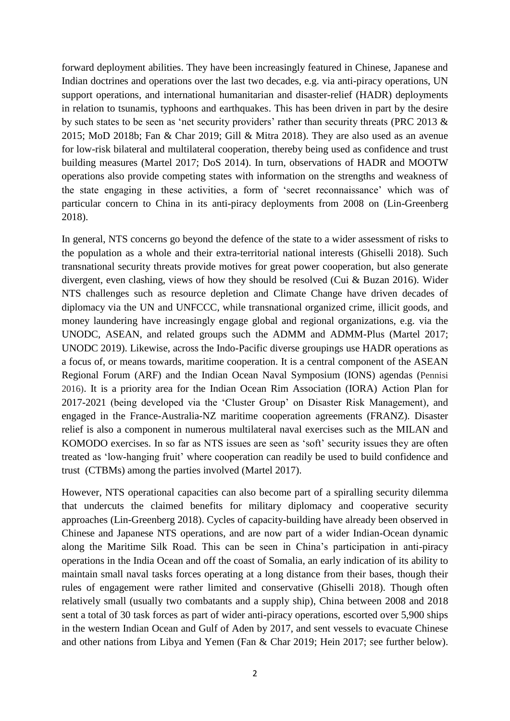forward deployment abilities. They have been increasingly featured in Chinese, Japanese and Indian doctrines and operations over the last two decades, e.g. via anti-piracy operations, UN support operations, and international humanitarian and disaster-relief (HADR) deployments in relation to tsunamis, typhoons and earthquakes. This has been driven in part by the desire by such states to be seen as 'net security providers' rather than security threats (PRC 2013 & 2015; MoD 2018b; Fan & Char 2019; Gill & Mitra 2018). They are also used as an avenue for low-risk bilateral and multilateral cooperation, thereby being used as confidence and trust building measures (Martel 2017; DoS 2014). In turn, observations of HADR and MOOTW operations also provide competing states with information on the strengths and weakness of the state engaging in these activities, a form of 'secret reconnaissance' which was of particular concern to China in its anti-piracy deployments from 2008 on (Lin-Greenberg 2018).

In general, NTS concerns go beyond the defence of the state to a wider assessment of risks to the population as a whole and their extra-territorial national interests (Ghiselli 2018). Such transnational security threats provide motives for great power cooperation, but also generate divergent, even clashing, views of how they should be resolved (Cui & Buzan 2016). Wider NTS challenges such as resource depletion and Climate Change have driven decades of diplomacy via the UN and UNFCCC, while transnational organized crime, illicit goods, and money laundering have increasingly engage global and regional organizations, e.g. via the UNODC, ASEAN, and related groups such the ADMM and ADMM-Plus (Martel 2017; UNODC 2019). Likewise, across the Indo-Pacific diverse groupings use HADR operations as a focus of, or means towards, maritime cooperation. It is a central component of the ASEAN Regional Forum (ARF) and the Indian Ocean Naval Symposium (IONS) agendas (Pennisi 2016). It is a priority area for the Indian Ocean Rim Association (IORA) Action Plan for 2017-2021 (being developed via the 'Cluster Group' on Disaster Risk Management), and engaged in the France-Australia-NZ maritime cooperation agreements (FRANZ). Disaster relief is also a component in numerous multilateral naval exercises such as the MILAN and KOMODO exercises. In so far as NTS issues are seen as 'soft' security issues they are often treated as 'low-hanging fruit' where cooperation can readily be used to build confidence and trust (CTBMs) among the parties involved (Martel 2017).

However, NTS operational capacities can also become part of a spiralling security dilemma that undercuts the claimed benefits for military diplomacy and cooperative security approaches (Lin-Greenberg 2018). Cycles of capacity-building have already been observed in Chinese and Japanese NTS operations, and are now part of a wider Indian-Ocean dynamic along the Maritime Silk Road. This can be seen in China's participation in anti-piracy operations in the India Ocean and off the coast of Somalia, an early indication of its ability to maintain small naval tasks forces operating at a long distance from their bases, though their rules of engagement were rather limited and conservative (Ghiselli 2018). Though often relatively small (usually two combatants and a supply ship), China between 2008 and 2018 sent a total of 30 task forces as part of wider anti-piracy operations, escorted over 5,900 ships in the western Indian Ocean and Gulf of Aden by 2017, and sent vessels to evacuate Chinese and other nations from Libya and Yemen (Fan & Char 2019; Hein 2017; see further below).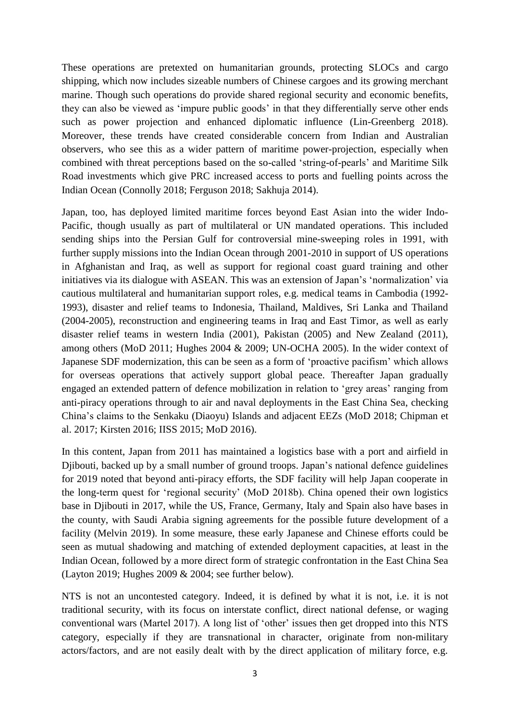These operations are pretexted on humanitarian grounds, protecting SLOCs and cargo shipping, which now includes sizeable numbers of Chinese cargoes and its growing merchant marine. Though such operations do provide shared regional security and economic benefits, they can also be viewed as 'impure public goods' in that they differentially serve other ends such as power projection and enhanced diplomatic influence (Lin-Greenberg 2018). Moreover, these trends have created considerable concern from Indian and Australian observers, who see this as a wider pattern of maritime power-projection, especially when combined with threat perceptions based on the so-called 'string-of-pearls' and Maritime Silk Road investments which give PRC increased access to ports and fuelling points across the Indian Ocean (Connolly 2018; Ferguson 2018; Sakhuja 2014).

Japan, too, has deployed limited maritime forces beyond East Asian into the wider Indo-Pacific, though usually as part of multilateral or UN mandated operations. This included sending ships into the Persian Gulf for controversial mine-sweeping roles in 1991, with further supply missions into the Indian Ocean through 2001-2010 in support of US operations in Afghanistan and Iraq, as well as support for regional coast guard training and other initiatives via its dialogue with ASEAN. This was an extension of Japan's 'normalization' via cautious multilateral and humanitarian support roles, e.g. medical teams in Cambodia (1992- 1993), disaster and relief teams to Indonesia, Thailand, Maldives, Sri Lanka and Thailand (2004-2005), reconstruction and engineering teams in Iraq and East Timor, as well as early disaster relief teams in western India (2001), Pakistan (2005) and New Zealand (2011), among others (MoD 2011; Hughes 2004 & 2009; UN-OCHA 2005). In the wider context of Japanese SDF modernization, this can be seen as a form of 'proactive pacifism' which allows for overseas operations that actively support global peace. Thereafter Japan gradually engaged an extended pattern of defence mobilization in relation to 'grey areas' ranging from anti-piracy operations through to air and naval deployments in the East China Sea, checking China's claims to the Senkaku (Diaoyu) Islands and adjacent EEZs (MoD 2018; Chipman et al. 2017; Kirsten 2016; IISS 2015; MoD 2016).

In this content, Japan from 2011 has maintained a logistics base with a port and airfield in Djibouti, backed up by a small number of ground troops. Japan's national defence guidelines for 2019 noted that beyond anti-piracy efforts, the SDF facility will help Japan cooperate in the long-term quest for 'regional security' (MoD 2018b). China opened their own logistics base in Djibouti in 2017, while the US, France, Germany, Italy and Spain also have bases in the county, with Saudi Arabia signing agreements for the possible future development of a facility (Melvin 2019). In some measure, these early Japanese and Chinese efforts could be seen as mutual shadowing and matching of extended deployment capacities, at least in the Indian Ocean, followed by a more direct form of strategic confrontation in the East China Sea (Layton 2019; Hughes 2009 & 2004; see further below).

NTS is not an uncontested category. Indeed, it is defined by what it is not, i.e. it is not traditional security, with its focus on interstate conflict, direct national defense, or waging conventional wars (Martel 2017). A long list of 'other' issues then get dropped into this NTS category, especially if they are transnational in character, originate from non-military actors/factors, and are not easily dealt with by the direct application of military force, e.g.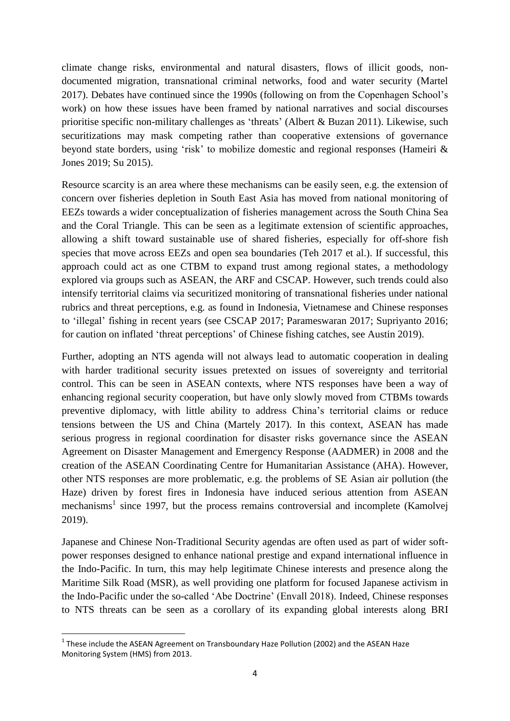climate change risks, environmental and natural disasters, flows of illicit goods, nondocumented migration, transnational criminal networks, food and water security (Martel 2017). Debates have continued since the 1990s (following on from the Copenhagen School's work) on how these issues have been framed by national narratives and social discourses prioritise specific non-military challenges as 'threats' (Albert & Buzan 2011). Likewise, such securitizations may mask competing rather than cooperative extensions of governance beyond state borders, using 'risk' to mobilize domestic and regional responses (Hameiri & Jones 2019; Su 2015).

Resource scarcity is an area where these mechanisms can be easily seen, e.g. the extension of concern over fisheries depletion in South East Asia has moved from national monitoring of EEZs towards a wider conceptualization of fisheries management across the South China Sea and the Coral Triangle. This can be seen as a legitimate extension of scientific approaches, allowing a shift toward sustainable use of shared fisheries, especially for off-shore fish species that move across EEZs and open sea boundaries (Teh 2017 et al.). If successful, this approach could act as one CTBM to expand trust among regional states, a methodology explored via groups such as ASEAN, the ARF and CSCAP. However, such trends could also intensify territorial claims via securitized monitoring of transnational fisheries under national rubrics and threat perceptions, e.g. as found in Indonesia, Vietnamese and Chinese responses to 'illegal' fishing in recent years (see CSCAP 2017; Parameswaran 2017; Supriyanto 2016; for caution on inflated 'threat perceptions' of Chinese fishing catches, see Austin 2019).

Further, adopting an NTS agenda will not always lead to automatic cooperation in dealing with harder traditional security issues pretexted on issues of sovereignty and territorial control. This can be seen in ASEAN contexts, where NTS responses have been a way of enhancing regional security cooperation, but have only slowly moved from CTBMs towards preventive diplomacy, with little ability to address China's territorial claims or reduce tensions between the US and China (Martely 2017). In this context, ASEAN has made serious progress in regional coordination for disaster risks governance since the ASEAN Agreement on Disaster Management and Emergency Response (AADMER) in 2008 and the creation of the ASEAN Coordinating Centre for Humanitarian Assistance (AHA). However, other NTS responses are more problematic, e.g. the problems of SE Asian air pollution (the Haze) driven by forest fires in Indonesia have induced serious attention from ASEAN mechanisms<sup>1</sup> since 1997, but the process remains controversial and incomplete (Kamolvej 2019).

Japanese and Chinese Non-Traditional Security agendas are often used as part of wider softpower responses designed to enhance national prestige and expand international influence in the Indo-Pacific. In turn, this may help legitimate Chinese interests and presence along the Maritime Silk Road (MSR), as well providing one platform for focused Japanese activism in the Indo-Pacific under the so-called 'Abe Doctrine' (Envall 2018). Indeed, Chinese responses to NTS threats can be seen as a corollary of its expanding global interests along BRI

**<sup>.</sup>**  $1$  These include the ASEAN Agreement on Transboundary Haze Pollution (2002) and the ASEAN Haze Monitoring System (HMS) from 2013.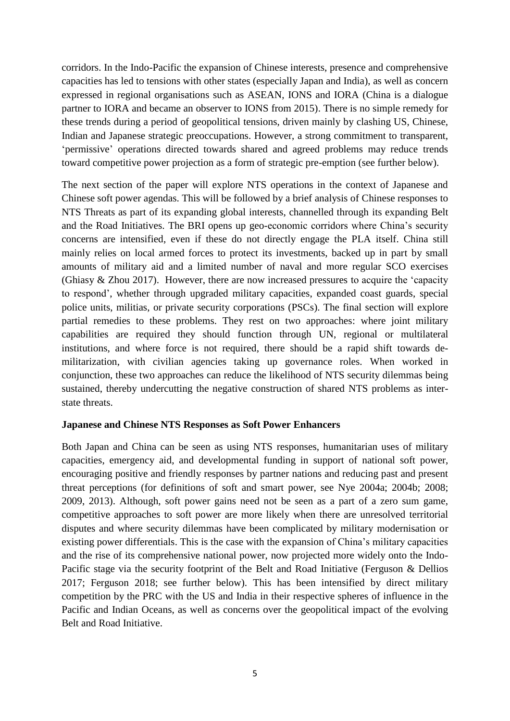corridors. In the Indo-Pacific the expansion of Chinese interests, presence and comprehensive capacities has led to tensions with other states (especially Japan and India), as well as concern expressed in regional organisations such as ASEAN, IONS and IORA (China is a dialogue partner to IORA and became an observer to IONS from 2015). There is no simple remedy for these trends during a period of geopolitical tensions, driven mainly by clashing US, Chinese, Indian and Japanese strategic preoccupations. However, a strong commitment to transparent, 'permissive' operations directed towards shared and agreed problems may reduce trends toward competitive power projection as a form of strategic pre-emption (see further below).

The next section of the paper will explore NTS operations in the context of Japanese and Chinese soft power agendas. This will be followed by a brief analysis of Chinese responses to NTS Threats as part of its expanding global interests, channelled through its expanding Belt and the Road Initiatives. The BRI opens up geo-economic corridors where China's security concerns are intensified, even if these do not directly engage the PLA itself. China still mainly relies on local armed forces to protect its investments, backed up in part by small amounts of military aid and a limited number of naval and more regular SCO exercises (Ghiasy & Zhou 2017). However, there are now increased pressures to acquire the 'capacity to respond', whether through upgraded military capacities, expanded coast guards, special police units, militias, or private security corporations (PSCs). The final section will explore partial remedies to these problems. They rest on two approaches: where joint military capabilities are required they should function through UN, regional or multilateral institutions, and where force is not required, there should be a rapid shift towards demilitarization, with civilian agencies taking up governance roles. When worked in conjunction, these two approaches can reduce the likelihood of NTS security dilemmas being sustained, thereby undercutting the negative construction of shared NTS problems as interstate threats.

### **Japanese and Chinese NTS Responses as Soft Power Enhancers**

Both Japan and China can be seen as using NTS responses, humanitarian uses of military capacities, emergency aid, and developmental funding in support of national soft power, encouraging positive and friendly responses by partner nations and reducing past and present threat perceptions (for definitions of soft and smart power, see Nye 2004a; 2004b; 2008; 2009, 2013). Although, soft power gains need not be seen as a part of a zero sum game, competitive approaches to soft power are more likely when there are unresolved territorial disputes and where security dilemmas have been complicated by military modernisation or existing power differentials. This is the case with the expansion of China's military capacities and the rise of its comprehensive national power, now projected more widely onto the Indo-Pacific stage via the security footprint of the Belt and Road Initiative (Ferguson & Dellios 2017; Ferguson 2018; see further below). This has been intensified by direct military competition by the PRC with the US and India in their respective spheres of influence in the Pacific and Indian Oceans, as well as concerns over the geopolitical impact of the evolving Belt and Road Initiative.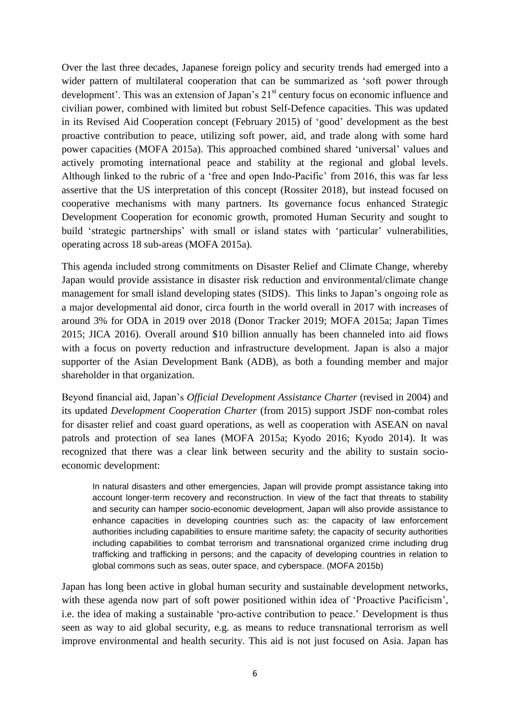Over the last three decades, Japanese foreign policy and security trends had emerged into a wider pattern of multilateral cooperation that can be summarized as 'soft power through development'. This was an extension of Japan's  $21<sup>st</sup>$  century focus on economic influence and civilian power, combined with limited but robust Self-Defence capacities. This was updated in its Revised Aid Cooperation concept (February 2015) of 'good' development as the best proactive contribution to peace, utilizing soft power, aid, and trade along with some hard power capacities (MOFA 2015a). This approached combined shared 'universal' values and actively promoting international peace and stability at the regional and global levels. Although linked to the rubric of a 'free and open Indo-Pacific' from 2016, this was far less assertive that the US interpretation of this concept (Rossiter 2018), but instead focused on cooperative mechanisms with many partners. Its governance focus enhanced Strategic Development Cooperation for economic growth, promoted Human Security and sought to build 'strategic partnerships' with small or island states with 'particular' vulnerabilities, operating across 18 sub-areas (MOFA 2015a).

This agenda included strong commitments on Disaster Relief and Climate Change, whereby Japan would provide assistance in disaster risk reduction and environmental/climate change management for small island developing states (SIDS). This links to Japan's ongoing role as a major developmental aid donor, circa fourth in the world overall in 2017 with increases of around 3% for ODA in 2019 over 2018 (Donor Tracker 2019; MOFA 2015a; Japan Times 2015; JICA 2016). Overall around \$10 billion annually has been channeled into aid flows with a focus on poverty reduction and infrastructure development. Japan is also a major supporter of the Asian Development Bank (ADB), as both a founding member and major shareholder in that organization.

Beyond financial aid, Japan's *Official Development Assistance Charter* (revised in 2004) and its updated *Development Cooperation Charter* (from 2015) support JSDF non-combat roles for disaster relief and coast guard operations, as well as cooperation with ASEAN on naval patrols and protection of sea lanes (MOFA 2015a; Kyodo 2016; Kyodo 2014). It was recognized that there was a clear link between security and the ability to sustain socioeconomic development:

In natural disasters and other emergencies, Japan will provide prompt assistance taking into account longer-term recovery and reconstruction. In view of the fact that threats to stability and security can hamper socio-economic development, Japan will also provide assistance to enhance capacities in developing countries such as: the capacity of law enforcement authorities including capabilities to ensure maritime safety; the capacity of security authorities including capabilities to combat terrorism and transnational organized crime including drug trafficking and trafficking in persons; and the capacity of developing countries in relation to global commons such as seas, outer space, and cyberspace. (MOFA 2015b)

Japan has long been active in global human security and sustainable development networks, with these agenda now part of soft power positioned within idea of 'Proactive Pacificism', i.e. the idea of making a sustainable 'pro-active contribution to peace.' Development is thus seen as way to aid global security, e.g. as means to reduce transnational terrorism as well improve environmental and health security. This aid is not just focused on Asia. Japan has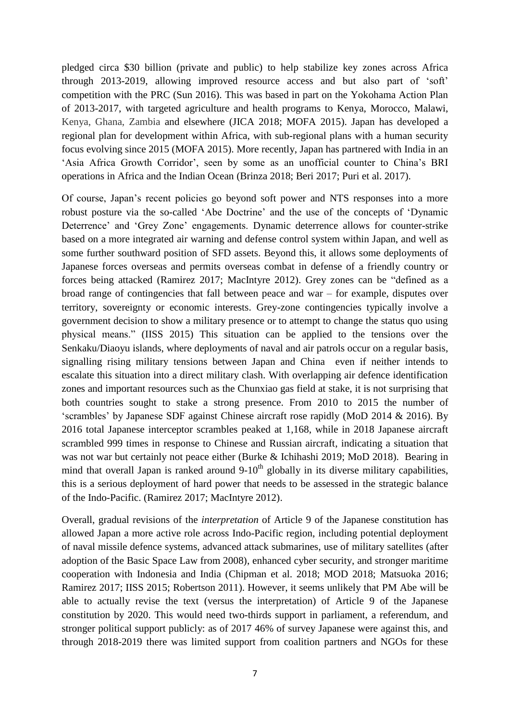pledged circa \$30 billion (private and public) to help stabilize key zones across Africa through 2013-2019, allowing improved resource access and but also part of 'soft' competition with the PRC (Sun 2016). This was based in part on the Yokohama Action Plan of 2013-2017, with targeted agriculture and health programs to Kenya, Morocco, Malawi, Kenya, Ghana, Zambia and elsewhere (JICA 2018; MOFA 2015). Japan has developed a regional plan for development within Africa, with sub-regional plans with a human security focus evolving since 2015 (MOFA 2015). More recently, Japan has partnered with India in an 'Asia Africa Growth Corridor', seen by some as an unofficial counter to China's BRI operations in Africa and the Indian Ocean (Brinza 2018; Beri 2017; Puri et al. 2017).

Of course, Japan's recent policies go beyond soft power and NTS responses into a more robust posture via the so-called 'Abe Doctrine' and the use of the concepts of 'Dynamic Deterrence' and 'Grey Zone' engagements. Dynamic deterrence allows for counter-strike based on a more integrated air warning and defense control system within Japan, and well as some further southward position of SFD assets. Beyond this, it allows some deployments of Japanese forces overseas and permits overseas combat in defense of a friendly country or forces being attacked (Ramirez 2017; MacIntyre 2012). Grey zones can be "defined as a broad range of contingencies that fall between peace and war – for example, disputes over territory, sovereignty or economic interests. Grey-zone contingencies typically involve a government decision to show a military presence or to attempt to change the status quo using physical means." (IISS 2015) This situation can be applied to the tensions over the Senkaku/Diaoyu islands, where deployments of naval and air patrols occur on a regular basis, signalling rising military tensions between Japan and China even if neither intends to escalate this situation into a direct military clash. With overlapping air defence identification zones and important resources such as the Chunxiao gas field at stake, it is not surprising that both countries sought to stake a strong presence. From 2010 to 2015 the number of 'scrambles' by Japanese SDF against Chinese aircraft rose rapidly (MoD 2014 & 2016). By 2016 total Japanese interceptor scrambles peaked at 1,168, while in 2018 Japanese aircraft scrambled 999 times in response to Chinese and Russian aircraft, indicating a situation that was not war but certainly not peace either (Burke & Ichihashi 2019; MoD 2018). Bearing in mind that overall Japan is ranked around  $9-10<sup>th</sup>$  globally in its diverse military capabilities, this is a serious deployment of hard power that needs to be assessed in the strategic balance of the Indo-Pacific. (Ramirez 2017; MacIntyre 2012).

Overall, gradual revisions of the *interpretation* of Article 9 of the Japanese constitution has allowed Japan a more active role across Indo-Pacific region, including potential deployment of naval missile defence systems, advanced attack submarines, use of military satellites (after adoption of the Basic Space Law from 2008), enhanced cyber security, and stronger maritime cooperation with Indonesia and India (Chipman et al. 2018; MOD 2018; Matsuoka 2016; Ramirez 2017; IISS 2015; Robertson 2011). However, it seems unlikely that PM Abe will be able to actually revise the text (versus the interpretation) of Article 9 of the Japanese constitution by 2020. This would need two-thirds support in parliament, a referendum, and stronger political support publicly: as of 2017 46% of survey Japanese were against this, and through 2018-2019 there was limited support from coalition partners and NGOs for these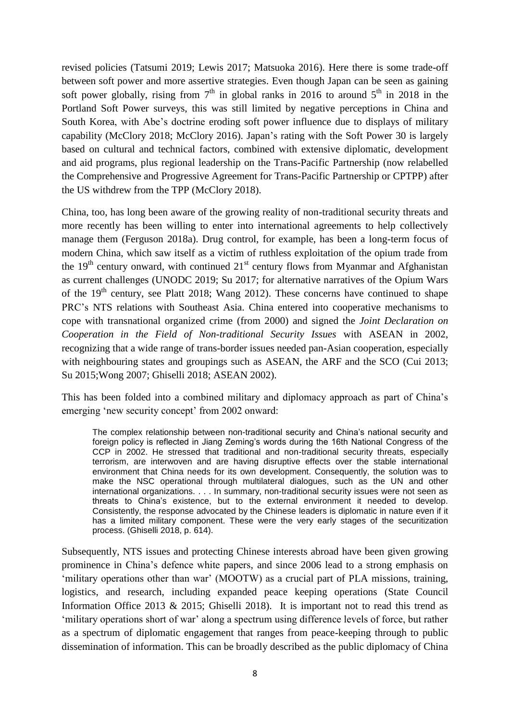revised policies (Tatsumi 2019; Lewis 2017; Matsuoka 2016). Here there is some trade-off between soft power and more assertive strategies. Even though Japan can be seen as gaining soft power globally, rising from  $7<sup>th</sup>$  in global ranks in 2016 to around  $5<sup>th</sup>$  in 2018 in the Portland Soft Power surveys, this was still limited by negative perceptions in China and South Korea, with Abe's doctrine eroding soft power influence due to displays of military capability (McClory 2018; McClory 2016). Japan's rating with the Soft Power 30 is largely based on cultural and technical factors, combined with extensive diplomatic, development and aid programs, plus regional leadership on the Trans-Pacific Partnership (now relabelled the Comprehensive and Progressive Agreement for Trans-Pacific Partnership or CPTPP) after the US withdrew from the TPP (McClory 2018).

China, too, has long been aware of the growing reality of non-traditional security threats and more recently has been willing to enter into international agreements to help collectively manage them (Ferguson 2018a). Drug control, for example, has been a long-term focus of modern China, which saw itself as a victim of ruthless exploitation of the opium trade from the  $19<sup>th</sup>$  century onward, with continued  $21<sup>st</sup>$  century flows from Myanmar and Afghanistan as current challenges (UNODC 2019; Su 2017; for alternative narratives of the Opium Wars of the  $19<sup>th</sup>$  century, see Platt 2018; Wang 2012). These concerns have continued to shape PRC's NTS relations with Southeast Asia. China entered into cooperative mechanisms to cope with transnational organized crime (from 2000) and signed the *Joint Declaration on Cooperation in the Field of Non-traditional Security Issues* with ASEAN in 2002, recognizing that a wide range of trans-border issues needed pan-Asian cooperation, especially with neighbouring states and groupings such as ASEAN, the ARF and the SCO (Cui 2013; Su 2015;Wong 2007; Ghiselli 2018; ASEAN 2002).

This has been folded into a combined military and diplomacy approach as part of China's emerging 'new security concept' from 2002 onward:

The complex relationship between non-traditional security and China's national security and foreign policy is reflected in Jiang Zeming's words during the 16th National Congress of the CCP in 2002. He stressed that traditional and non-traditional security threats, especially terrorism, are interwoven and are having disruptive effects over the stable international environment that China needs for its own development. Consequently, the solution was to make the NSC operational through multilateral dialogues, such as the UN and other international organizations. . . . In summary, non-traditional security issues were not seen as threats to China's existence, but to the external environment it needed to develop. Consistently, the response advocated by the Chinese leaders is diplomatic in nature even if it has a limited military component. These were the very early stages of the securitization process. (Ghiselli 2018, p. 614).

Subsequently, NTS issues and protecting Chinese interests abroad have been given growing prominence in China's defence white papers, and since 2006 lead to a strong emphasis on 'military operations other than war' (MOOTW) as a crucial part of PLA missions, training, logistics, and research, including expanded peace keeping operations (State Council Information Office 2013 & 2015; Ghiselli 2018). It is important not to read this trend as 'military operations short of war' along a spectrum using difference levels of force, but rather as a spectrum of diplomatic engagement that ranges from peace-keeping through to public dissemination of information. This can be broadly described as the public diplomacy of China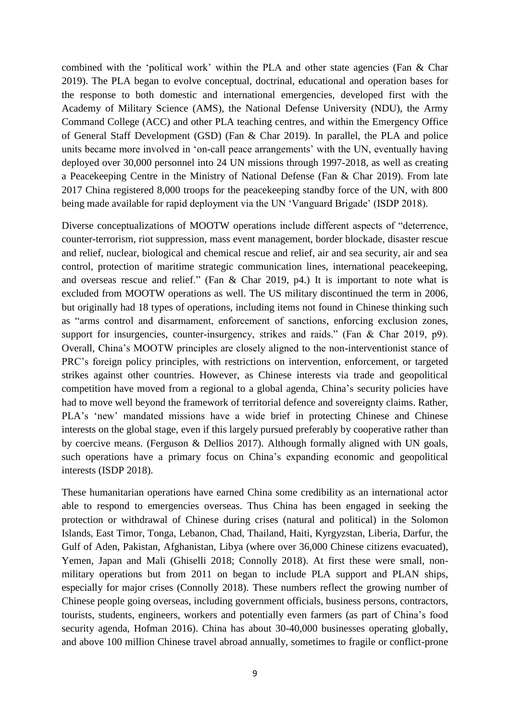combined with the 'political work' within the PLA and other state agencies (Fan & Char 2019). The PLA began to evolve conceptual, doctrinal, educational and operation bases for the response to both domestic and international emergencies, developed first with the Academy of Military Science (AMS), the National Defense University (NDU), the Army Command College (ACC) and other PLA teaching centres, and within the Emergency Office of General Staff Development (GSD) (Fan & Char 2019). In parallel, the PLA and police units became more involved in 'on-call peace arrangements' with the UN, eventually having deployed over 30,000 personnel into 24 UN missions through 1997-2018, as well as creating a Peacekeeping Centre in the Ministry of National Defense (Fan & Char 2019). From late 2017 China registered 8,000 troops for the peacekeeping standby force of the UN, with 800 being made available for rapid deployment via the UN 'Vanguard Brigade' (ISDP 2018).

Diverse conceptualizations of MOOTW operations include different aspects of "deterrence, counter-terrorism, riot suppression, mass event management, border blockade, disaster rescue and relief, nuclear, biological and chemical rescue and relief, air and sea security, air and sea control, protection of maritime strategic communication lines, international peacekeeping, and overseas rescue and relief." (Fan & Char 2019, p4.) It is important to note what is excluded from MOOTW operations as well. The US military discontinued the term in 2006, but originally had 18 types of operations, including items not found in Chinese thinking such as "arms control and disarmament, enforcement of sanctions, enforcing exclusion zones, support for insurgencies, counter-insurgency, strikes and raids." (Fan & Char 2019, p9). Overall, China's MOOTW principles are closely aligned to the non-interventionist stance of PRC's foreign policy principles, with restrictions on intervention, enforcement, or targeted strikes against other countries. However, as Chinese interests via trade and geopolitical competition have moved from a regional to a global agenda, China's security policies have had to move well beyond the framework of territorial defence and sovereignty claims. Rather, PLA's 'new' mandated missions have a wide brief in protecting Chinese and Chinese interests on the global stage, even if this largely pursued preferably by cooperative rather than by coercive means. (Ferguson & Dellios 2017). Although formally aligned with UN goals, such operations have a primary focus on China's expanding economic and geopolitical interests (ISDP 2018).

These humanitarian operations have earned China some credibility as an international actor able to respond to emergencies overseas. Thus China has been engaged in seeking the protection or withdrawal of Chinese during crises (natural and political) in the Solomon Islands, East Timor, Tonga, Lebanon, Chad, Thailand, Haiti, Kyrgyzstan, Liberia, Darfur, the Gulf of Aden, Pakistan, Afghanistan, Libya (where over 36,000 Chinese citizens evacuated), Yemen, Japan and Mali (Ghiselli 2018; Connolly 2018). At first these were small, nonmilitary operations but from 2011 on began to include PLA support and PLAN ships, especially for major crises (Connolly 2018). These numbers reflect the growing number of Chinese people going overseas, including government officials, business persons, contractors, tourists, students, engineers, workers and potentially even farmers (as part of China's food security agenda, Hofman 2016). China has about 30-40,000 businesses operating globally, and above 100 million Chinese travel abroad annually, sometimes to fragile or conflict-prone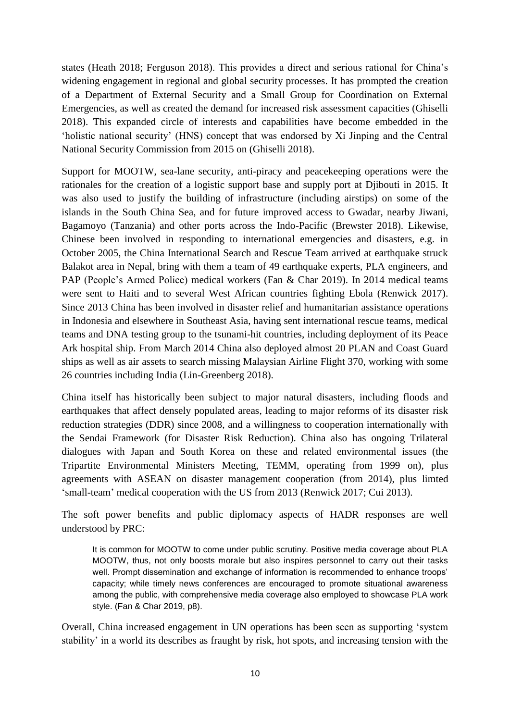states (Heath 2018; Ferguson 2018). This provides a direct and serious rational for China's widening engagement in regional and global security processes. It has prompted the creation of a Department of External Security and a Small Group for Coordination on External Emergencies, as well as created the demand for increased risk assessment capacities (Ghiselli 2018). This expanded circle of interests and capabilities have become embedded in the 'holistic national security' (HNS) concept that was endorsed by Xi Jinping and the Central National Security Commission from 2015 on (Ghiselli 2018).

Support for MOOTW, sea-lane security, anti-piracy and peacekeeping operations were the rationales for the creation of a logistic support base and supply port at Djibouti in 2015. It was also used to justify the building of infrastructure (including airstips) on some of the islands in the South China Sea, and for future improved access to Gwadar, nearby Jiwani, Bagamoyo (Tanzania) and other ports across the Indo-Pacific (Brewster 2018). Likewise, Chinese been involved in responding to international emergencies and disasters, e.g. in October 2005, the China International Search and Rescue Team arrived at earthquake struck Balakot area in Nepal, bring with them a team of 49 earthquake experts, PLA engineers, and PAP (People's Armed Police) medical workers (Fan & Char 2019). In 2014 medical teams were sent to Haiti and to several West African countries fighting Ebola (Renwick 2017). Since 2013 China has been involved in disaster relief and humanitarian assistance operations in Indonesia and elsewhere in Southeast Asia, having sent international rescue teams, medical teams and DNA testing group to the tsunami-hit countries, including deployment of its Peace Ark hospital ship. From March 2014 China also deployed almost 20 PLAN and Coast Guard ships as well as air assets to search missing Malaysian Airline Flight 370, working with some 26 countries including India (Lin-Greenberg 2018).

China itself has historically been subject to major natural disasters, including floods and earthquakes that affect densely populated areas, leading to major reforms of its disaster risk reduction strategies (DDR) since 2008, and a willingness to cooperation internationally with the Sendai Framework (for Disaster Risk Reduction). China also has ongoing Trilateral dialogues with Japan and South Korea on these and related environmental issues (the Tripartite Environmental Ministers Meeting, TEMM, operating from 1999 on), plus agreements with ASEAN on disaster management cooperation (from 2014), plus limted 'small-team' medical cooperation with the US from 2013 (Renwick 2017; Cui 2013).

The soft power benefits and public diplomacy aspects of HADR responses are well understood by PRC:

It is common for MOOTW to come under public scrutiny. Positive media coverage about PLA MOOTW, thus, not only boosts morale but also inspires personnel to carry out their tasks well. Prompt dissemination and exchange of information is recommended to enhance troops' capacity; while timely news conferences are encouraged to promote situational awareness among the public, with comprehensive media coverage also employed to showcase PLA work style. (Fan & Char 2019, p8).

Overall, China increased engagement in UN operations has been seen as supporting 'system stability' in a world its describes as fraught by risk, hot spots, and increasing tension with the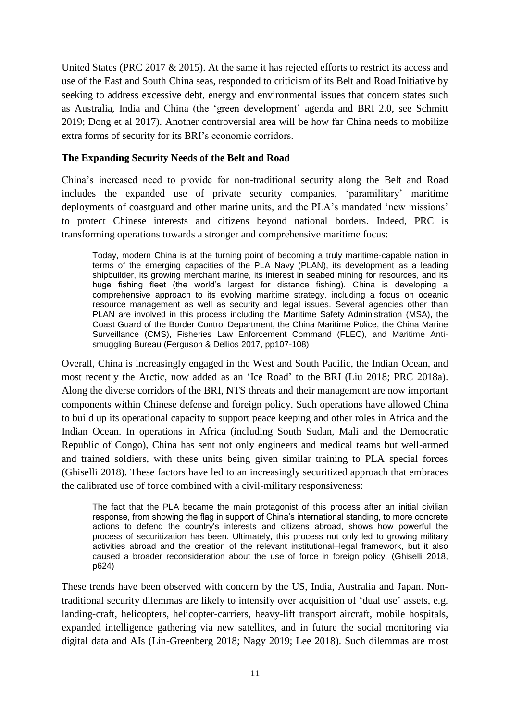United States (PRC 2017  $\&$  2015). At the same it has rejected efforts to restrict its access and use of the East and South China seas, responded to criticism of its Belt and Road Initiative by seeking to address excessive debt, energy and environmental issues that concern states such as Australia, India and China (the 'green development' agenda and BRI 2.0, see Schmitt 2019; Dong et al 2017). Another controversial area will be how far China needs to mobilize extra forms of security for its BRI's economic corridors.

## **The Expanding Security Needs of the Belt and Road**

China's increased need to provide for non-traditional security along the Belt and Road includes the expanded use of private security companies, 'paramilitary' maritime deployments of coastguard and other marine units, and the PLA's mandated 'new missions' to protect Chinese interests and citizens beyond national borders. Indeed, PRC is transforming operations towards a stronger and comprehensive maritime focus:

Today, modern China is at the turning point of becoming a truly maritime-capable nation in terms of the emerging capacities of the PLA Navy (PLAN), its development as a leading shipbuilder, its growing merchant marine, its interest in seabed mining for resources, and its huge fishing fleet (the world's largest for distance fishing). China is developing a comprehensive approach to its evolving maritime strategy, including a focus on oceanic resource management as well as security and legal issues. Several agencies other than PLAN are involved in this process including the Maritime Safety Administration (MSA), the Coast Guard of the Border Control Department, the China Maritime Police, the China Marine Surveillance (CMS), Fisheries Law Enforcement Command (FLEC), and Maritime Antismuggling Bureau (Ferguson & Dellios 2017, pp107-108)

Overall, China is increasingly engaged in the West and South Pacific, the Indian Ocean, and most recently the Arctic, now added as an 'Ice Road' to the BRI (Liu 2018; PRC 2018a). Along the diverse corridors of the BRI, NTS threats and their management are now important components within Chinese defense and foreign policy. Such operations have allowed China to build up its operational capacity to support peace keeping and other roles in Africa and the Indian Ocean. In operations in Africa (including South Sudan, Mali and the Democratic Republic of Congo), China has sent not only engineers and medical teams but well-armed and trained soldiers, with these units being given similar training to PLA special forces (Ghiselli 2018). These factors have led to an increasingly securitized approach that embraces the calibrated use of force combined with a civil-military responsiveness:

The fact that the PLA became the main protagonist of this process after an initial civilian response, from showing the flag in support of China's international standing, to more concrete actions to defend the country's interests and citizens abroad, shows how powerful the process of securitization has been. Ultimately, this process not only led to growing military activities abroad and the creation of the relevant institutional–legal framework, but it also caused a broader reconsideration about the use of force in foreign policy. (Ghiselli 2018, p624)

These trends have been observed with concern by the US, India, Australia and Japan. Nontraditional security dilemmas are likely to intensify over acquisition of 'dual use' assets, e.g. landing-craft, helicopters, helicopter-carriers, heavy-lift transport aircraft, mobile hospitals, expanded intelligence gathering via new satellites, and in future the social monitoring via digital data and AIs (Lin-Greenberg 2018; Nagy 2019; Lee 2018). Such dilemmas are most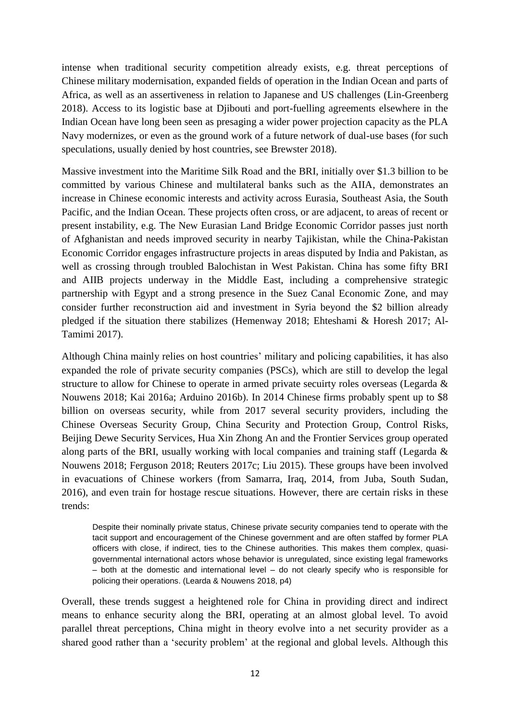intense when traditional security competition already exists, e.g. threat perceptions of Chinese military modernisation, expanded fields of operation in the Indian Ocean and parts of Africa, as well as an assertiveness in relation to Japanese and US challenges (Lin-Greenberg 2018). Access to its logistic base at Djibouti and port-fuelling agreements elsewhere in the Indian Ocean have long been seen as presaging a wider power projection capacity as the PLA Navy modernizes, or even as the ground work of a future network of dual-use bases (for such speculations, usually denied by host countries, see Brewster 2018).

Massive investment into the Maritime Silk Road and the BRI, initially over \$1.3 billion to be committed by various Chinese and multilateral banks such as the AIIA, demonstrates an increase in Chinese economic interests and activity across Eurasia, Southeast Asia, the South Pacific, and the Indian Ocean. These projects often cross, or are adjacent, to areas of recent or present instability, e.g. The New Eurasian Land Bridge Economic Corridor passes just north of Afghanistan and needs improved security in nearby Tajikistan, while the China-Pakistan Economic Corridor engages infrastructure projects in areas disputed by India and Pakistan, as well as crossing through troubled Balochistan in West Pakistan. China has some fifty BRI and AIIB projects underway in the Middle East, including a comprehensive strategic partnership with Egypt and a strong presence in the Suez Canal Economic Zone, and may consider further reconstruction aid and investment in Syria beyond the \$2 billion already pledged if the situation there stabilizes (Hemenway 2018; Ehteshami & Horesh 2017; Al-Tamimi 2017).

Although China mainly relies on host countries' military and policing capabilities, it has also expanded the role of private security companies (PSCs), which are still to develop the legal structure to allow for Chinese to operate in armed private secuirty roles overseas (Legarda & Nouwens 2018; Kai 2016a; Arduino 2016b). In 2014 Chinese firms probably spent up to \$8 billion on overseas security, while from 2017 several security providers, including the Chinese Overseas Security Group, China Security and Protection Group, Control Risks, Beijing Dewe Security Services, Hua Xin Zhong An and the Frontier Services group operated along parts of the BRI, usually working with local companies and training staff (Legarda & Nouwens 2018; Ferguson 2018; Reuters 2017c; Liu 2015). These groups have been involved in evacuations of Chinese workers (from Samarra, Iraq, 2014, from Juba, South Sudan, 2016), and even train for hostage rescue situations. However, there are certain risks in these trends:

Despite their nominally private status, Chinese private security companies tend to operate with the tacit support and encouragement of the Chinese government and are often staffed by former PLA officers with close, if indirect, ties to the Chinese authorities. This makes them complex, quasigovernmental international actors whose behavior is unregulated, since existing legal frameworks – both at the domestic and international level – do not clearly specify who is responsible for policing their operations. (Learda & Nouwens 2018, p4)

Overall, these trends suggest a heightened role for China in providing direct and indirect means to enhance security along the BRI, operating at an almost global level. To avoid parallel threat perceptions, China might in theory evolve into a net security provider as a shared good rather than a 'security problem' at the regional and global levels. Although this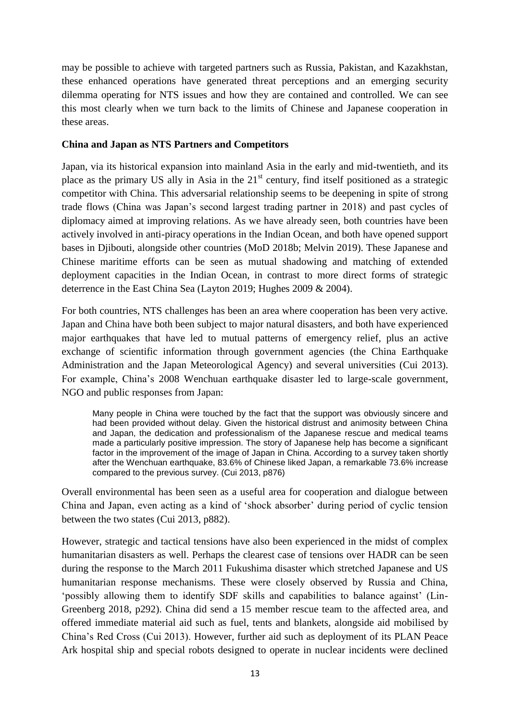may be possible to achieve with targeted partners such as Russia, Pakistan, and Kazakhstan, these enhanced operations have generated threat perceptions and an emerging security dilemma operating for NTS issues and how they are contained and controlled. We can see this most clearly when we turn back to the limits of Chinese and Japanese cooperation in these areas.

## **China and Japan as NTS Partners and Competitors**

Japan, via its historical expansion into mainland Asia in the early and mid-twentieth, and its place as the primary US ally in Asia in the  $21<sup>st</sup>$  century, find itself positioned as a strategic competitor with China. This adversarial relationship seems to be deepening in spite of strong trade flows (China was Japan's second largest trading partner in 2018) and past cycles of diplomacy aimed at improving relations. As we have already seen, both countries have been actively involved in anti-piracy operations in the Indian Ocean, and both have opened support bases in Djibouti, alongside other countries (MoD 2018b; Melvin 2019). These Japanese and Chinese maritime efforts can be seen as mutual shadowing and matching of extended deployment capacities in the Indian Ocean, in contrast to more direct forms of strategic deterrence in the East China Sea (Layton 2019; Hughes 2009 & 2004).

For both countries, NTS challenges has been an area where cooperation has been very active. Japan and China have both been subject to major natural disasters, and both have experienced major earthquakes that have led to mutual patterns of emergency relief, plus an active exchange of scientific information through government agencies (the China Earthquake Administration and the Japan Meteorological Agency) and several universities (Cui 2013). For example, China's 2008 Wenchuan earthquake disaster led to large-scale government, NGO and public responses from Japan:

Many people in China were touched by the fact that the support was obviously sincere and had been provided without delay. Given the historical distrust and animosity between China and Japan, the dedication and professionalism of the Japanese rescue and medical teams made a particularly positive impression. The story of Japanese help has become a significant factor in the improvement of the image of Japan in China. According to a survey taken shortly after the Wenchuan earthquake, 83.6% of Chinese liked Japan, a remarkable 73.6% increase compared to the previous survey. (Cui 2013, p876)

Overall environmental has been seen as a useful area for cooperation and dialogue between China and Japan, even acting as a kind of 'shock absorber' during period of cyclic tension between the two states (Cui 2013, p882).

However, strategic and tactical tensions have also been experienced in the midst of complex humanitarian disasters as well. Perhaps the clearest case of tensions over HADR can be seen during the response to the March 2011 Fukushima disaster which stretched Japanese and US humanitarian response mechanisms. These were closely observed by Russia and China, 'possibly allowing them to identify SDF skills and capabilities to balance against' (Lin-Greenberg 2018, p292). China did send a 15 member rescue team to the affected area, and offered immediate material aid such as fuel, tents and blankets, alongside aid mobilised by China's Red Cross (Cui 2013). However, further aid such as deployment of its PLAN Peace Ark hospital ship and special robots designed to operate in nuclear incidents were declined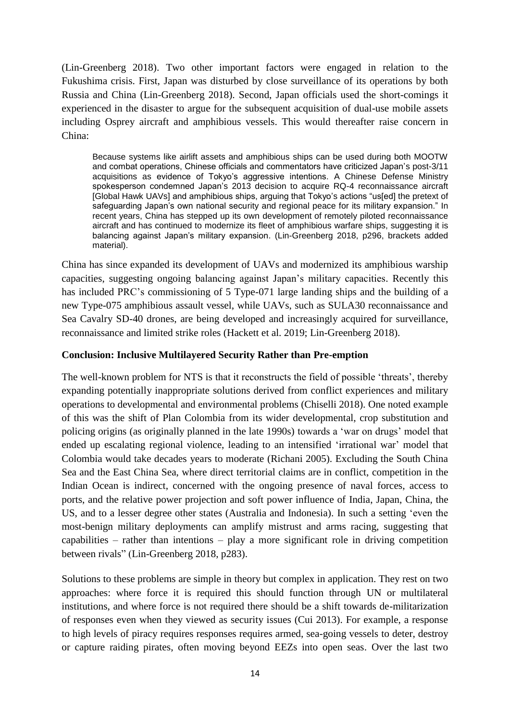(Lin-Greenberg 2018). Two other important factors were engaged in relation to the Fukushima crisis. First, Japan was disturbed by close surveillance of its operations by both Russia and China (Lin-Greenberg 2018). Second, Japan officials used the short-comings it experienced in the disaster to argue for the subsequent acquisition of dual-use mobile assets including Osprey aircraft and amphibious vessels. This would thereafter raise concern in China:

Because systems like airlift assets and amphibious ships can be used during both MOOTW and combat operations, Chinese officials and commentators have criticized Japan's post-3/11 acquisitions as evidence of Tokyo's aggressive intentions. A Chinese Defense Ministry spokesperson condemned Japan's 2013 decision to acquire RQ-4 reconnaissance aircraft [Global Hawk UAVs] and amphibious ships, arguing that Tokyo's actions "us[ed] the pretext of safeguarding Japan's own national security and regional peace for its military expansion." In recent years, China has stepped up its own development of remotely piloted reconnaissance aircraft and has continued to modernize its fleet of amphibious warfare ships, suggesting it is balancing against Japan's military expansion. (Lin-Greenberg 2018, p296, brackets added material).

China has since expanded its development of UAVs and modernized its amphibious warship capacities, suggesting ongoing balancing against Japan's military capacities. Recently this has included PRC's commissioning of 5 Type-071 large landing ships and the building of a new Type-075 amphibious assault vessel, while UAVs, such as SULA30 reconnaissance and Sea Cavalry SD-40 drones, are being developed and increasingly acquired for surveillance, reconnaissance and limited strike roles (Hackett et al. 2019; Lin-Greenberg 2018).

## **Conclusion: Inclusive Multilayered Security Rather than Pre-emption**

The well-known problem for NTS is that it reconstructs the field of possible 'threats', thereby expanding potentially inappropriate solutions derived from conflict experiences and military operations to developmental and environmental problems (Chiselli 2018). One noted example of this was the shift of Plan Colombia from its wider developmental, crop substitution and policing origins (as originally planned in the late 1990s) towards a 'war on drugs' model that ended up escalating regional violence, leading to an intensified 'irrational war' model that Colombia would take decades years to moderate (Richani 2005). Excluding the South China Sea and the East China Sea, where direct territorial claims are in conflict, competition in the Indian Ocean is indirect, concerned with the ongoing presence of naval forces, access to ports, and the relative power projection and soft power influence of India, Japan, China, the US, and to a lesser degree other states (Australia and Indonesia). In such a setting 'even the most-benign military deployments can amplify mistrust and arms racing, suggesting that capabilities – rather than intentions – play a more significant role in driving competition between rivals" (Lin-Greenberg 2018, p283).

Solutions to these problems are simple in theory but complex in application. They rest on two approaches: where force it is required this should function through UN or multilateral institutions, and where force is not required there should be a shift towards de-militarization of responses even when they viewed as security issues (Cui 2013). For example, a response to high levels of piracy requires responses requires armed, sea-going vessels to deter, destroy or capture raiding pirates, often moving beyond EEZs into open seas. Over the last two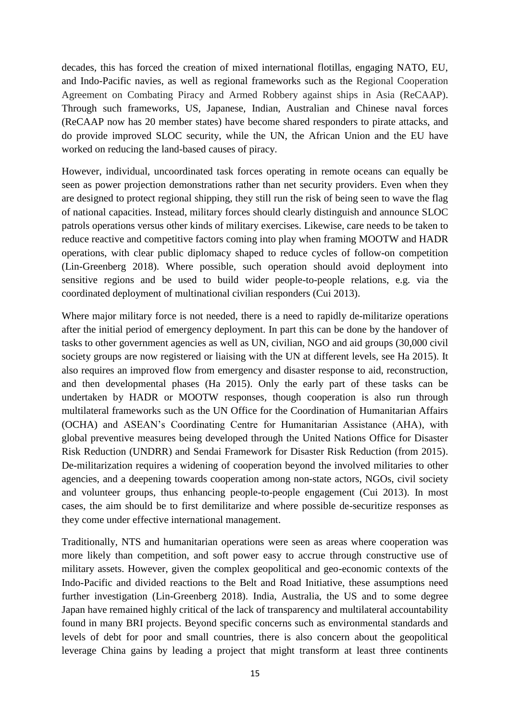decades, this has forced the creation of mixed international flotillas, engaging NATO, EU, and Indo-Pacific navies, as well as regional frameworks such as the Regional Cooperation Agreement on Combating Piracy and Armed Robbery against ships in Asia (ReCAAP). Through such frameworks, US, Japanese, Indian, Australian and Chinese naval forces (ReCAAP now has 20 member states) have become shared responders to pirate attacks, and do provide improved SLOC security, while the UN, the African Union and the EU have worked on reducing the land-based causes of piracy.

However, individual, uncoordinated task forces operating in remote oceans can equally be seen as power projection demonstrations rather than net security providers. Even when they are designed to protect regional shipping, they still run the risk of being seen to wave the flag of national capacities. Instead, military forces should clearly distinguish and announce SLOC patrols operations versus other kinds of military exercises. Likewise, care needs to be taken to reduce reactive and competitive factors coming into play when framing MOOTW and HADR operations, with clear public diplomacy shaped to reduce cycles of follow-on competition (Lin-Greenberg 2018). Where possible, such operation should avoid deployment into sensitive regions and be used to build wider people-to-people relations, e.g. via the coordinated deployment of multinational civilian responders (Cui 2013).

Where major military force is not needed, there is a need to rapidly de-militarize operations after the initial period of emergency deployment. In part this can be done by the handover of tasks to other government agencies as well as UN, civilian, NGO and aid groups (30,000 civil society groups are now registered or liaising with the UN at different levels, see Ha 2015). It also requires an improved flow from emergency and disaster response to aid, reconstruction, and then developmental phases (Ha 2015). Only the early part of these tasks can be undertaken by HADR or MOOTW responses, though cooperation is also run through multilateral frameworks such as the UN Office for the Coordination of Humanitarian Affairs (OCHA) and ASEAN's Coordinating Centre for Humanitarian Assistance (AHA), with global preventive measures being developed through the United Nations Office for Disaster Risk Reduction (UNDRR) and Sendai Framework for Disaster Risk Reduction (from 2015). De-militarization requires a widening of cooperation beyond the involved militaries to other agencies, and a deepening towards cooperation among non-state actors, NGOs, civil society and volunteer groups, thus enhancing people-to-people engagement (Cui 2013). In most cases, the aim should be to first demilitarize and where possible de-securitize responses as they come under effective international management.

Traditionally, NTS and humanitarian operations were seen as areas where cooperation was more likely than competition, and soft power easy to accrue through constructive use of military assets. However, given the complex geopolitical and geo-economic contexts of the Indo-Pacific and divided reactions to the Belt and Road Initiative, these assumptions need further investigation (Lin-Greenberg 2018). India, Australia, the US and to some degree Japan have remained highly critical of the lack of transparency and multilateral accountability found in many BRI projects. Beyond specific concerns such as environmental standards and levels of debt for poor and small countries, there is also concern about the geopolitical leverage China gains by leading a project that might transform at least three continents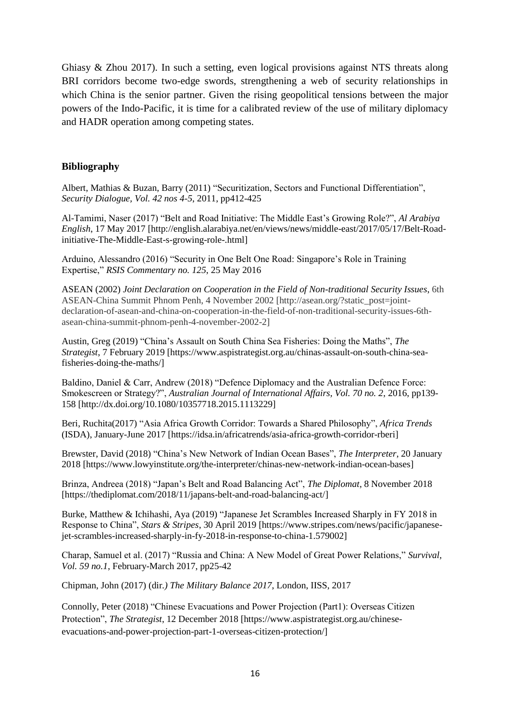Ghiasy & Zhou 2017). In such a setting, even logical provisions against NTS threats along BRI corridors become two-edge swords, strengthening a web of security relationships in which China is the senior partner. Given the rising geopolitical tensions between the major powers of the Indo-Pacific, it is time for a calibrated review of the use of military diplomacy and HADR operation among competing states.

## **Bibliography**

Albert, Mathias & Buzan, Barry (2011) "Securitization, Sectors and Functional Differentiation", *Security Dialogue, Vol. 42 nos 4-5*, 2011, pp412-425

Al-Tamimi, Naser (2017) "Belt and Road Initiative: The Middle East's Growing Role?", *Al Arabiya English*, 17 May 2017 [http://english.alarabiya.net/en/views/news/middle-east/2017/05/17/Belt-Roadinitiative-The-Middle-East-s-growing-role-.html]

Arduino, Alessandro (2016) "Security in One Belt One Road: Singapore's Role in Training Expertise," *RSIS Commentary no. 125*, 25 May 2016

ASEAN (2002) *Joint Declaration on Cooperation in the Field of Non-traditional Security Issues*, 6th ASEAN-China Summit Phnom Penh, 4 November 2002 [http://asean.org/?static\_post=jointdeclaration-of-asean-and-china-on-cooperation-in-the-field-of-non-traditional-security-issues-6thasean-china-summit-phnom-penh-4-november-2002-2]

Austin, Greg (2019) "China's Assault on South China Sea Fisheries: Doing the Maths", *The Strategist*, 7 February 2019 [https://www.aspistrategist.org.au/chinas-assault-on-south-china-seafisheries-doing-the-maths/]

Baldino, Daniel & Carr, Andrew (2018) "Defence Diplomacy and the Australian Defence Force: Smokescreen or Strategy?", *Australian Journal of International Affairs, Vol. 70 no. 2*, 2016, pp139- 158 [http://dx.doi.org/10.1080/10357718.2015.1113229]

Beri, Ruchita(2017) "Asia Africa Growth Corridor: Towards a Shared Philosophy", *Africa Trends* (ISDA), January-June 2017 [https://idsa.in/africatrends/asia-africa-growth-corridor-rberi]

Brewster, David (2018) "China's New Network of Indian Ocean Bases", *The Interpreter*, 20 January 2018 [https://www.lowyinstitute.org/the-interpreter/chinas-new-network-indian-ocean-bases]

Brinza, Andreea (2018) "Japan's Belt and Road Balancing Act", *The Diplomat*, 8 November 2018 [https://thediplomat.com/2018/11/japans-belt-and-road-balancing-act/]

Burke, Matthew & Ichihashi, Aya (2019) "Japanese Jet Scrambles Increased Sharply in FY 2018 in Response to China", *Stars & Stripes*, 30 April 2019 [https://www.stripes.com/news/pacific/japanesejet-scrambles-increased-sharply-in-fy-2018-in-response-to-china-1.579002]

Charap, Samuel et al. (2017) "Russia and China: A New Model of Great Power Relations," *Survival, Vol. 59 no.1*, February-March 2017, pp25-42

Chipman, John (2017) (dir*.) The Military Balance 2017*, London, IISS, 2017

Connolly, Peter (2018) "Chinese Evacuations and Power Projection (Part1): Overseas Citizen Protection", *The Strategist*, 12 December 2018 [https://www.aspistrategist.org.au/chineseevacuations-and-power-projection-part-1-overseas-citizen-protection/]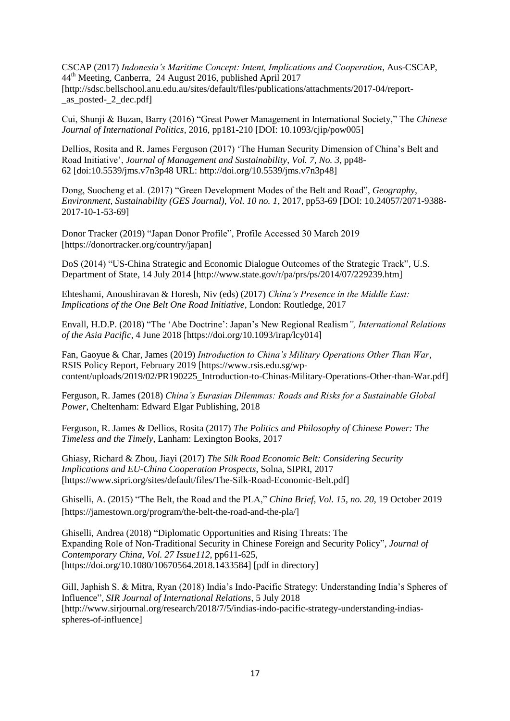CSCAP (2017) *Indonesia's Maritime Concept: Intent, Implications and Cooperation*, Aus-CSCAP, 44th Meeting, Canberra, 24 August 2016, published April 2017 [http://sdsc.bellschool.anu.edu.au/sites/default/files/publications/attachments/2017-04/report- \_as\_posted-\_2\_dec.pdf]

Cui, Shunji & Buzan, Barry (2016) "Great Power Management in International Society," The *Chinese Journal of International Politics*, 2016, pp181-210 [DOI: 10.1093/cjip/pow005]

Dellios, Rosita and R. James Ferguson (2017) 'The Human Security Dimension of China's Belt and Road Initiative', *Journal of Management and Sustainability*, *Vol. 7, No. 3*, pp48- 62 [doi:10.5539/jms.v7n3p48 URL: http://doi.org/10.5539/jms.v7n3p48]

Dong, Suocheng et al. (2017) "Green Development Modes of the Belt and Road", *Geography, Environment, Sustainability (GES Journal), Vol. 10 no. 1*, 2017, pp53-69 [DOI: 10.24057/2071-9388- 2017-10-1-53-69]

Donor Tracker (2019) "Japan Donor Profile", Profile Accessed 30 March 2019 [https://donortracker.org/country/japan]

DoS (2014) "US-China Strategic and Economic Dialogue Outcomes of the Strategic Track", U.S. Department of State, 14 July 2014 [http://www.state.gov/r/pa/prs/ps/2014/07/229239.htm]

Ehteshami, Anoushiravan & Horesh, Niv (eds) (2017) *China's Presence in the Middle East: Implications of the One Belt One Road Initiative*, London: Routledge, 2017

Envall, H.D.P. (2018) "The 'Abe Doctrine': Japan's New Regional Realism*", International Relations of the Asia Pacific*, 4 June 2018 [https://doi.org/10.1093/irap/lcy014]

Fan, Gaoyue & Char, James (2019) *Introduction to China's Military Operations Other Than War*, RSIS Policy Report, February 2019 [https://www.rsis.edu.sg/wpcontent/uploads/2019/02/PR190225\_Introduction-to-Chinas-Military-Operations-Other-than-War.pdf]

Ferguson, R. James (2018) *China's Eurasian Dilemmas: Roads and Risks for a Sustainable Global Power*, Cheltenham: Edward Elgar Publishing, 2018

Ferguson, R. James & Dellios, Rosita (2017) *The Politics and Philosophy of Chinese Power: The Timeless and the Timely*, Lanham: Lexington Books, 2017

Ghiasy, Richard & Zhou, Jiayi (2017) *The Silk Road Economic Belt: Considering Security Implications and EU-China Cooperation Prospects*, Solna, SIPRI, 2017 [https://www.sipri.org/sites/default/files/The-Silk-Road-Economic-Belt.pdf]

Ghiselli, A. (2015) "The Belt, the Road and the PLA," *China Brief, Vol. 15, no. 20*, 19 October 2019 [https://jamestown.org/program/the-belt-the-road-and-the-pla/]

Ghiselli, Andrea (2018) "Diplomatic Opportunities and Rising Threats: The Expanding Role of Non-Traditional Security in Chinese Foreign and Security Policy", *Journal of Contemporary China, Vol. 27 Issue112*, pp611-625, [https://doi.org/10.1080/10670564.2018.1433584] [pdf in directory]

Gill, Japhish S. & Mitra, Ryan (2018) India's Indo-Pacific Strategy: Understanding India's Spheres of Influence", *SIR Journal of International Relations*, 5 July 2018 [http://www.sirjournal.org/research/2018/7/5/indias-indo-pacific-strategy-understanding-indiasspheres-of-influence]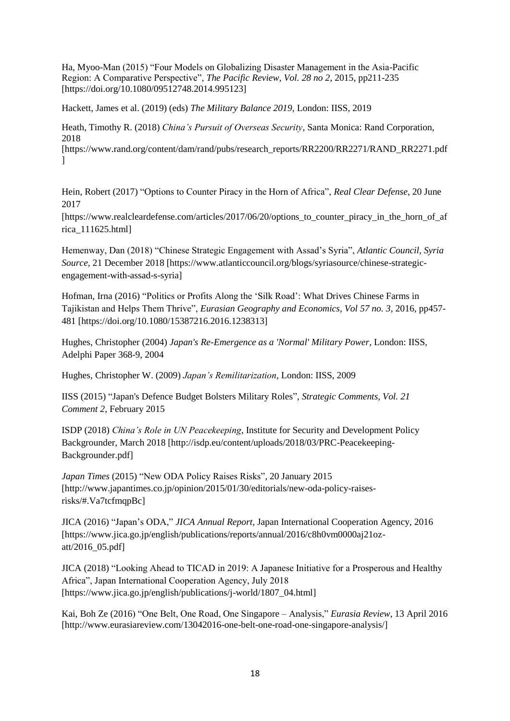Ha, Myoo-Man (2015) "Four Models on Globalizing Disaster Management in the Asia-Pacific Region: A Comparative Perspective", *The Pacific Review, Vol. 28 no 2*, 2015, pp211-235 [https://doi.org/10.1080/09512748.2014.995123]

Hackett, James et al. (2019) (eds) *The Military Balance 2019*, London: IISS, 2019

Heath, Timothy R. (2018) *China's Pursuit of Overseas Security*, Santa Monica: Rand Corporation, 2018

[https://www.rand.org/content/dam/rand/pubs/research\_reports/RR2200/RR2271/RAND\_RR2271.pdf  $\mathbf{I}$ 

Hein, Robert (2017) "Options to Counter Piracy in the Horn of Africa", *Real Clear Defense*, 20 June 2017

[https://www.realcleardefense.com/articles/2017/06/20/options\_to\_counter\_piracy\_in\_the\_horn\_of\_af rica\_111625.html]

Hemenway, Dan (2018) "Chinese Strategic Engagement with Assad's Syria", *Atlantic Council, Syria Source,* 21 December 2018 [https://www.atlanticcouncil.org/blogs/syriasource/chinese-strategicengagement-with-assad-s-syria]

Hofman, Irna (2016) "Politics or Profits Along the 'Silk Road': What Drives Chinese Farms in Tajikistan and Helps Them Thrive", *Eurasian Geography and Economics, Vol 57 no. 3*, 2016, pp457- 481 [https://doi.org/10.1080/15387216.2016.1238313]

Hughes, Christopher (2004) *Japan's Re-Emergence as a 'Normal' Military Power,* London: IISS, Adelphi Paper 368-9, 2004

Hughes, Christopher W. (2009) *Japan's Remilitarization*, London: IISS, 2009

IISS (2015) "Japan's Defence Budget Bolsters Military Roles", *Strategic Comments, Vol. 21 Comment 2*, February 2015

ISDP (2018) *China's Role in UN Peacekeeping*, Institute for Security and Development Policy Backgrounder, March 2018 [http://isdp.eu/content/uploads/2018/03/PRC-Peacekeeping-Backgrounder.pdf]

*Japan Times* (2015) "New ODA Policy Raises Risks", 20 January 2015 [http://www.japantimes.co.jp/opinion/2015/01/30/editorials/new-oda-policy-raisesrisks/#.Va7tcfmqpBc]

JICA (2016) "Japan's ODA," *JICA Annual Report,* Japan International Cooperation Agency, 2016 [https://www.jica.go.jp/english/publications/reports/annual/2016/c8h0vm0000aj21ozatt/2016\_05.pdf]

JICA (2018) "Looking Ahead to TICAD in 2019: A Japanese Initiative for a Prosperous and Healthy Africa", Japan International Cooperation Agency, July 2018 [https://www.jica.go.jp/english/publications/j-world/1807\_04.html]

Kai, Boh Ze (2016) "One Belt, One Road, One Singapore – Analysis," *Eurasia Review*, 13 April 2016 [http://www.eurasiareview.com/13042016-one-belt-one-road-one-singapore-analysis/]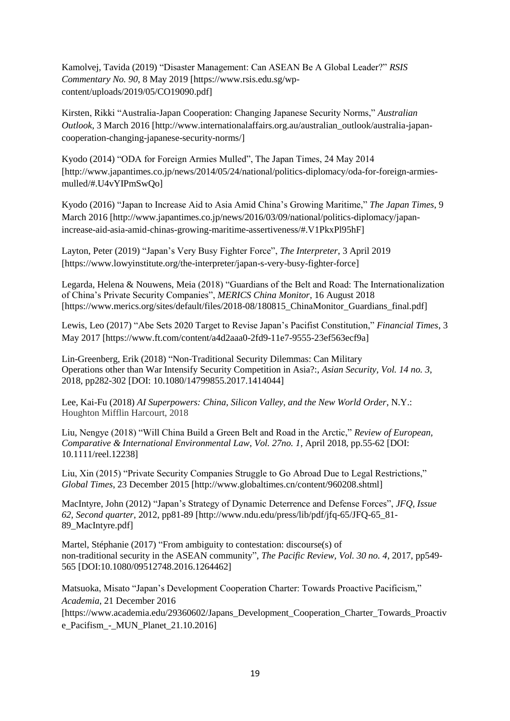Kamolvej, Tavida (2019) "Disaster Management: Can ASEAN Be A Global Leader?" *RSIS Commentary No. 90*, 8 May 2019 [https://www.rsis.edu.sg/wpcontent/uploads/2019/05/CO19090.pdf]

Kirsten, Rikki "Australia-Japan Cooperation: Changing Japanese Security Norms," *Australian Outlook*, 3 March 2016 [http://www.internationalaffairs.org.au/australian\_outlook/australia-japancooperation-changing-japanese-security-norms/]

Kyodo (2014) "ODA for Foreign Armies Mulled", The Japan Times, 24 May 2014 [http://www.japantimes.co.jp/news/2014/05/24/national/politics-diplomacy/oda-for-foreign-armiesmulled/#.U4vYIPmSwQo]

Kyodo (2016) "Japan to Increase Aid to Asia Amid China's Growing Maritime," *The Japan Times*, 9 March 2016 [http://www.japantimes.co.jp/news/2016/03/09/national/politics-diplomacy/japanincrease-aid-asia-amid-chinas-growing-maritime-assertiveness/#.V1PkxPl95hF]

Layton, Peter (2019) "Japan's Very Busy Fighter Force", *The Interpreter*, 3 April 2019 [https://www.lowyinstitute.org/the-interpreter/japan-s-very-busy-fighter-force]

Legarda, Helena & Nouwens, Meia (2018) "Guardians of the Belt and Road: The Internationalization of China's Private Security Companies", *MERICS China Monitor*, 16 August 2018 [https://www.merics.org/sites/default/files/2018-08/180815\_ChinaMonitor\_Guardians\_final.pdf]

Lewis, Leo (2017) "Abe Sets 2020 Target to Revise Japan's Pacifist Constitution," *Financial Times*, 3 May 2017 [https://www.ft.com/content/a4d2aaa0-2fd9-11e7-9555-23ef563ecf9a]

Lin-Greenberg, Erik (2018) "Non-Traditional Security Dilemmas: Can Military Operations other than War Intensify Security Competition in Asia?:, *Asian Security, Vol. 14 no. 3*, 2018, pp282-302 [DOI: 10.1080/14799855.2017.1414044]

Lee, Kai-Fu (2018) *AI Superpowers: China, Silicon Valley, and the New World Order*, N.Y.: Houghton Mifflin Harcourt, 2018

Liu, Nengye (2018) "Will China Build a Green Belt and Road in the Arctic," *Review of European, Comparative & International Environmental Law*, *Vol. 27no. 1,* April 2018, pp.55-62 [DOI: 10.1111/reel.12238]

Liu, Xin (2015) "Private Security Companies Struggle to Go Abroad Due to Legal Restrictions," *Global Times*, 23 December 2015 [http://www.globaltimes.cn/content/960208.shtml]

MacIntyre, John (2012) "Japan's Strategy of Dynamic Deterrence and Defense Forces", *JFQ, Issue 62, Second quarter*, 2012, pp81-89 [http://www.ndu.edu/press/lib/pdf/jfq-65/JFQ-65\_81- 89\_MacIntyre.pdf]

Martel, Stéphanie (2017) "From ambiguity to contestation: discourse(s) of non-traditional security in the ASEAN community", *The Pacific Review, Vol. 30 no. 4*, 2017, pp549- 565 [DOI:10.1080/09512748.2016.1264462]

Matsuoka, Misato "Japan's Development Cooperation Charter: Towards Proactive Pacificism," *Academia*, 21 December 2016

[https://www.academia.edu/29360602/Japans\_Development\_Cooperation\_Charter\_Towards\_Proactiv e\_Pacifism - MUN\_Planet\_21.10.2016]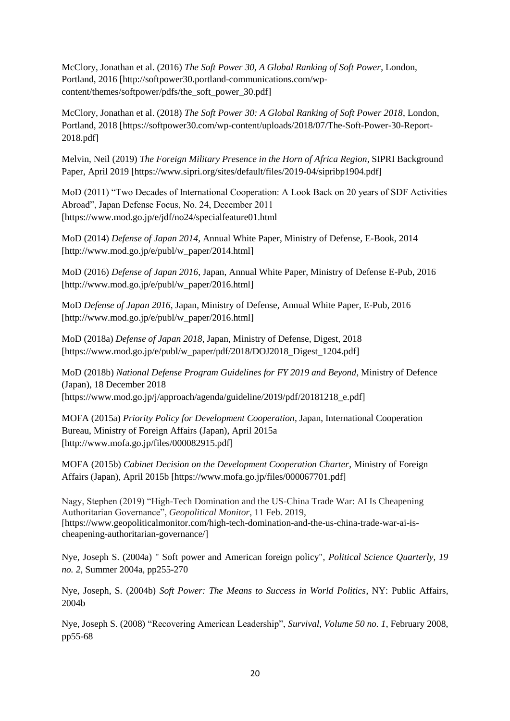McClory, Jonathan et al. (2016) *The Soft Power 30, A Global Ranking of Soft Power*, London, Portland, 2016 [http://softpower30.portland-communications.com/wpcontent/themes/softpower/pdfs/the\_soft\_power\_30.pdf]

McClory, Jonathan et al. (2018) *The Soft Power 30: A Global Ranking of Soft Power 2018*, London, Portland, 2018 [https://softpower30.com/wp-content/uploads/2018/07/The-Soft-Power-30-Report-2018.pdf]

Melvin, Neil (2019) *The Foreign Military Presence in the Horn of Africa Region*, SIPRI Background Paper, April 2019 [https://www.sipri.org/sites/default/files/2019-04/sipribp1904.pdf]

MoD (2011) "Two Decades of International Cooperation: A Look Back on 20 years of SDF Activities Abroad", Japan Defense Focus, No. 24, December 2011 [https://www.mod.go.jp/e/jdf/no24/specialfeature01.html

MoD (2014) *Defense of Japan 2014*, Annual White Paper, Ministry of Defense, E-Book, 2014 [http://www.mod.go.jp/e/publ/w\_paper/2014.html]

MoD (2016) *Defense of Japan 2016*, Japan, Annual White Paper, Ministry of Defense E-Pub, 2016 [http://www.mod.go.jp/e/publ/w\_paper/2016.html]

MoD *Defense of Japan 2016*, Japan, Ministry of Defense, Annual White Paper, E-Pub, 2016 [http://www.mod.go.jp/e/publ/w\_paper/2016.html]

MoD (2018a) *Defense of Japan 2018*, Japan, Ministry of Defense, Digest, 2018 [https://www.mod.go.jp/e/publ/w\_paper/pdf/2018/DOJ2018\_Digest\_1204.pdf]

MoD (2018b) *National Defense Program Guidelines for FY 2019 and Beyond*, Ministry of Defence (Japan), 18 December 2018 [https://www.mod.go.jp/j/approach/agenda/guideline/2019/pdf/20181218\_e.pdf]

MOFA (2015a) *Priority Policy for Development Cooperation*, Japan, International Cooperation Bureau, Ministry of Foreign Affairs (Japan), April 2015a [http://www.mofa.go.jp/files/000082915.pdf]

MOFA (2015b) *Cabinet Decision on the Development Cooperation Charter*, Ministry of Foreign Affairs (Japan), April 2015b [https://www.mofa.go.jp/files/000067701.pdf]

Nagy, Stephen (2019) "High-Tech Domination and the US-China Trade War: AI Is Cheapening Authoritarian Governance", *Geopolitical Monitor*, 11 Feb. 2019, [https://www.geopoliticalmonitor.com/high-tech-domination-and-the-us-china-trade-war-ai-ischeapening-authoritarian-governance/]

Nye, Joseph S. (2004a) " Soft power and American foreign policy", *Political Science Quarterly, 19 no. 2,* Summer 2004a, pp255-270

Nye, Joseph, S. (2004b) *Soft Power: The Means to Success in World Politics*, NY: Public Affairs, 2004b

Nye, Joseph S. (2008) "Recovering American Leadership", *Survival, Volume 50 no. 1*, February 2008, pp55-68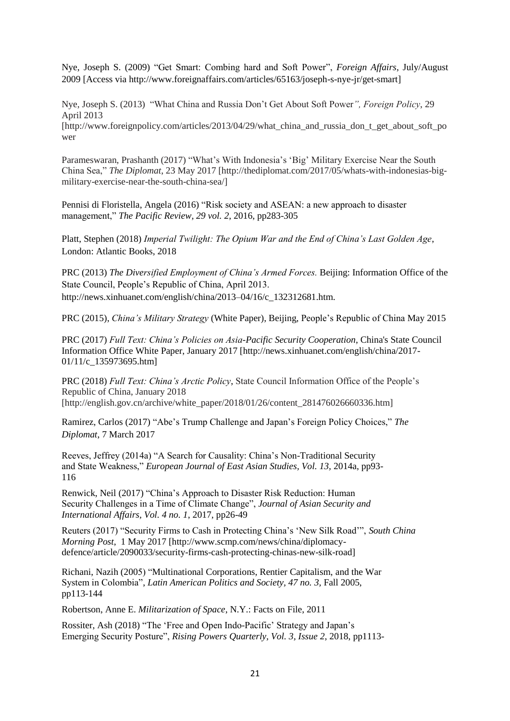Nye, Joseph S. (2009) "Get Smart: Combing hard and Soft Power", *Foreign Affairs*, July/August 2009 [Access via http://www.foreignaffairs.com/articles/65163/joseph-s-nye-jr/get-smart]

Nye, Joseph S. (2013) "What China and Russia Don't Get About Soft Power*", Foreign Policy*, 29 April 2013 [http://www.foreignpolicy.com/articles/2013/04/29/what\_china\_and\_russia\_don\_t\_get\_about\_soft\_po wer

Parameswaran, Prashanth (2017) "What's With Indonesia's 'Big' Military Exercise Near the South China Sea," *The Diplomat*, 23 May 2017 [http://thediplomat.com/2017/05/whats-with-indonesias-bigmilitary-exercise-near-the-south-china-sea/]

Pennisi di Floristella, Angela (2016) "Risk society and ASEAN: a new approach to disaster management," *The Pacific Review, 29 vol. 2*, 2016, pp283-305

Platt, Stephen (2018) *Imperial Twilight: The Opium War and the End of China's Last Golden Age*, London: Atlantic Books, 2018

PRC (2013) *The Diversified Employment of China's Armed Forces.* Beijing: Information Office of the State Council, People's Republic of China, April 2013. http://news.xinhuanet.com/english/china/2013–04/16/c\_132312681.htm.

PRC (2015), *China's Military Strategy* (White Paper), Beijing, People's Republic of China May 2015

PRC (2017) *Full Text: China's Policies on Asia-Pacific Security Cooperation*, China's State Council Information Office White Paper, January 2017 [http://news.xinhuanet.com/english/china/2017- 01/11/c 135973695.html

PRC (2018) *Full Text: China's Arctic Policy*, State Council Information Office of the People's Republic of China, January 2018  $[http://english.gov.cn/archive/white\ paper/2018/01/26/content\ 281476026660336.html]$ 

Ramirez, Carlos (2017) "Abe's Trump Challenge and Japan's Foreign Policy Choices," *The Diplomat*, 7 March 2017

Reeves, Jeffrey (2014a) "A Search for Causality: China's Non-Traditional Security and State Weakness," *European Journal of East Asian Studies, Vol. 13,* 2014a, pp93- 116

Renwick, Neil (2017) "China's Approach to Disaster Risk Reduction: Human Security Challenges in a Time of Climate Change", *Journal of Asian Security and International Affairs, Vol. 4 no. 1*, 2017, pp26-49

Reuters (2017) "Security Firms to Cash in Protecting China's 'New Silk Road'", *South China Morning Post*, 1 May 2017 [http://www.scmp.com/news/china/diplomacydefence/article/2090033/security-firms-cash-protecting-chinas-new-silk-road]

Richani, Nazih (2005) "Multinational Corporations, Rentier Capitalism, and the War System in Colombia", *Latin American Politics and Society, 47 no. 3*, Fall 2005, pp113-144

Robertson, Anne E. *Militarization of Space*, N.Y.: Facts on File, 2011

Rossiter, Ash (2018) "The 'Free and Open Indo-Pacific' Strategy and Japan's Emerging Security Posture", *Rising Powers Quarterly, Vol. 3, Issue 2*, 2018, pp1113-